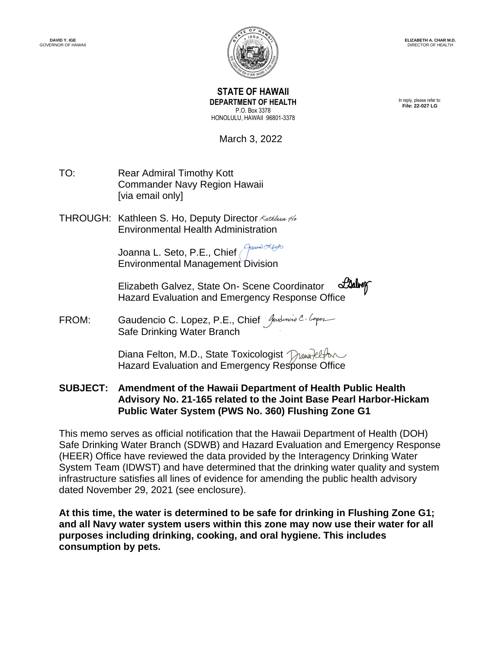

**STATE OF HAWAII DEPARTMENT OF HEALTH** P.O. Box 3378 HONOLULU, HAWAII 96801-3378

In reply, please refer to: **File: 22-027 LG**

March 3, 2022

- TO: Rear Admiral Timothy Kott Commander Navy Region Hawaii [via email only]
- THROUGH: Kathleen S. Ho, Deputy Director Kathleen Ho Environmental Health Administr[ation](https://stateofhawaii.na1.adobesign.com/verifier?tx=CBJCHBCAABAAPx_lTzvZlbzPmJ5p5opBQ6x_jdfibpCv)

France Lacto Joanna L. Seto, P.E., Chief Environmental Manageme[nt Division](https://stateofhawaii.na1.adobesign.com/verifier?tx=CBJCHBCAABAAPx_lTzvZlbzPmJ5p5opBQ6x_jdfibpCv)

Elizabeth Galvez, State On- Scene Coordinator STANWY Hazard Evaluation and Emergency Response [Office](https://stateofhawaii.na1.adobesign.com/verifier?tx=CBJCHBCAABAAPx_lTzvZlbzPmJ5p5opBQ6x_jdfibpCv)

FROM: Gaudencio C. Lopez, P.E., Chief Andencia C. Coper Safe Drinking Water Branch

> Diana Felton, M.D., State Toxicologist Mana-Reflow Hazard Evaluation and Emergency Re[sponse Office](https://stateofhawaii.na1.adobesign.com/verifier?tx=CBJCHBCAABAAPx_lTzvZlbzPmJ5p5opBQ6x_jdfibpCv)

**SUBJECT: Amendment of the Hawaii Department of Health Public Health Advisory No. 21-165 related to the Joint Base Pearl Harbor-Hickam Public Water System (PWS No. 360) Flushing Zone G1**

This memo serves as official notification that the Hawaii Department of Health (DOH) Safe Drinking Water Branch (SDWB) and Hazard Evaluation and Emergency Response (HEER) Office have reviewed the data provided by the Interagency Drinking Water System Team (IDWST) and have determined that the drinking water quality and system infrastructure satisfies all lines of evidence for amending the public health advisory dated November 29, 2021 (see enclosure).

**At this time, the water is determined to be safe for drinking in Flushing Zone G1; and all Navy water system users within this zone may now use their water for all purposes including drinking, cooking, and oral hygiene. This includes consumption by pets.**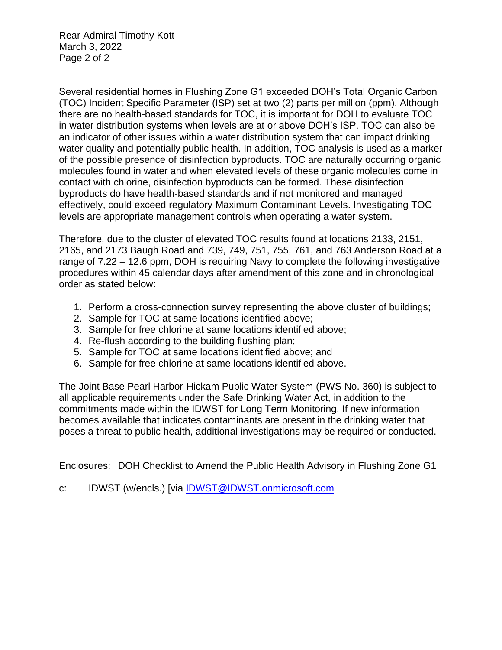Rear Admiral Timothy Kott March 3, 2022 Page 2 of 2

Several residential homes in Flushing Zone G1 exceeded DOH's Total Organic Carbon (TOC) Incident Specific Parameter (ISP) set at two (2) parts per million (ppm). Although there are no health-based standards for TOC, it is important for DOH to evaluate TOC in water distribution systems when levels are at or above DOH's ISP. TOC can also be an indicator of other issues within a water distribution system that can impact drinking water quality and potentially public health. In addition, TOC analysis is used as a marker of the possible presence of disinfection byproducts. TOC are naturally occurring organic molecules found in water and when elevated levels of these organic molecules come in contact with chlorine, disinfection byproducts can be formed. These disinfection byproducts do have health-based standards and if not monitored and managed effectively, could exceed regulatory Maximum Contaminant Levels. Investigating TOC levels are appropriate management controls when operating a water system.

Therefore, due to the cluster of elevated TOC results found at locations 2133, 2151, 2165, and 2173 Baugh Road and 739, 749, 751, 755, 761, and 763 Anderson Road at a range of 7.22 – 12.6 ppm, DOH is requiring Navy to complete the following investigative procedures within 45 calendar days after amendment of this zone and in chronological order as stated below:

- 1. Perform a cross-connection survey representing the above cluster of buildings;
- 2. Sample for TOC at same locations identified above;
- 3. Sample for free chlorine at same locations identified above;
- 4. Re-flush according to the building flushing plan;
- 5. Sample for TOC at same locations identified above; and
- 6. Sample for free chlorine at same locations identified above.

The Joint Base Pearl Harbor-Hickam Public Water System (PWS No. 360) is subject to all applicable requirements under the Safe Drinking Water Act, in addition to the commitments made within the IDWST for Long Term Monitoring. If new information becomes available that indicates contaminants are present in the drinking water that poses a threat to public health, additional investigations may be required or conducted.

Enclosures: DOH Checklist to Amend the Public Health Advisory in Flushing Zone G1

c: IDWST (w/encls.) [via [IDWST@IDWST.onmicrosoft.com](mailto:IDWST@IDWST.onmicrosoft.com)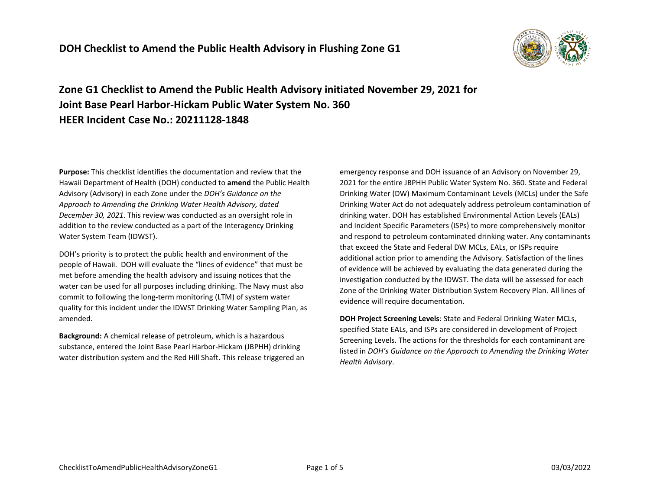

**Zone G1 Checklist to Amend the Public Health Advisory initiated November 29, 2021 for Joint Base Pearl Harbor-Hickam Public Water System No. 360 HEER Incident Case No.: 20211128-1848**

**Purpose:** This checklist identifies the documentation and review that the Hawaii Department of Health (DOH) conducted to **amend** the Public Health Advisory (Advisory) in each Zone under the *DOH's Guidance on the Approach to Amending the Drinking Water Health Advisory, dated December 30, 2021*. This review was conducted as an oversight role in addition to the review conducted as a part of the Interagency Drinking Water System Team (IDWST).

DOH's priority is to protect the public health and environment of the people of Hawaii. DOH will evaluate the "lines of evidence" that must be met before amending the health advisory and issuing notices that the water can be used for all purposes including drinking. The Navy must also commit to following the long-term monitoring (LTM) of system water quality for this incident under the IDWST Drinking Water Sampling Plan, as amended.

**Background:** A chemical release of petroleum, which is a hazardous substance, entered the Joint Base Pearl Harbor-Hickam (JBPHH) drinking water distribution system and the Red Hill Shaft. This release triggered an

emergency response and DOH issuance of an Advisory on November 29, 2021 for the entire JBPHH Public Water System No. 360. State and Federal Drinking Water (DW) Maximum Contaminant Levels (MCLs) under the Safe Drinking Water Act do not adequately address petroleum contamination of drinking water. DOH has established Environmental Action Levels (EALs) and Incident Specific Parameters (ISPs) to more comprehensively monitor and respond to petroleum contaminated drinking water. Any contaminants that exceed the State and Federal DW MCLs, EALs, or ISPs require additional action prior to amending the Advisory. Satisfaction of the lines of evidence will be achieved by evaluating the data generated during the investigation conducted by the IDWST. The data will be assessed for each Zone of the Drinking Water Distribution System Recovery Plan. All lines of evidence will require documentation.

**DOH Project Screening Levels**: State and Federal Drinking Water MCLs, specified State EALs, and ISPs are considered in development of Project Screening Levels. The actions for the thresholds for each contaminant are listed in *DOH's Guidance on the Approach to Amending the Drinking Water Health Advisory*.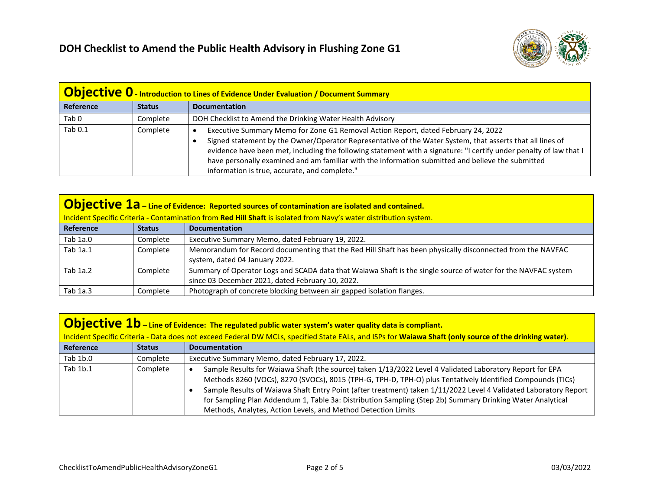

| <b>Objective 0</b> - Introduction to Lines of Evidence Under Evaluation / Document Summary |               |                                                                                                                                                                                                                                                                                                                                                                                                                                                                            |
|--------------------------------------------------------------------------------------------|---------------|----------------------------------------------------------------------------------------------------------------------------------------------------------------------------------------------------------------------------------------------------------------------------------------------------------------------------------------------------------------------------------------------------------------------------------------------------------------------------|
| Reference                                                                                  | <b>Status</b> | <b>Documentation</b>                                                                                                                                                                                                                                                                                                                                                                                                                                                       |
| Tab <sub>0</sub>                                                                           | Complete      | DOH Checklist to Amend the Drinking Water Health Advisory                                                                                                                                                                                                                                                                                                                                                                                                                  |
| Tab 0.1                                                                                    | Complete      | Executive Summary Memo for Zone G1 Removal Action Report, dated February 24, 2022<br>Signed statement by the Owner/Operator Representative of the Water System, that asserts that all lines of<br>evidence have been met, including the following statement with a signature: "I certify under penalty of law that I<br>have personally examined and am familiar with the information submitted and believe the submitted<br>information is true, accurate, and complete." |

| <b>Objective 1a</b> – Line of Evidence: Reported sources of contamination are isolated and contained.             |               |                                                                                                                                                                   |
|-------------------------------------------------------------------------------------------------------------------|---------------|-------------------------------------------------------------------------------------------------------------------------------------------------------------------|
| Incident Specific Criteria - Contamination from Red Hill Shaft is isolated from Navy's water distribution system. |               |                                                                                                                                                                   |
| Reference                                                                                                         | <b>Status</b> | <b>Documentation</b>                                                                                                                                              |
| Tab 1a.0                                                                                                          | Complete      | Executive Summary Memo, dated February 19, 2022.                                                                                                                  |
| Tab 1a.1                                                                                                          | Complete      | Memorandum for Record documenting that the Red Hill Shaft has been physically disconnected from the NAVFAC<br>system, dated 04 January 2022.                      |
| Tab 1a.2                                                                                                          | Complete      | Summary of Operator Logs and SCADA data that Waiawa Shaft is the single source of water for the NAVFAC system<br>since 03 December 2021, dated February 10, 2022. |
| Tab 1a.3                                                                                                          | Complete      | Photograph of concrete blocking between air gapped isolation flanges.                                                                                             |

| <b>Objective 1b</b> – Line of Evidence: The regulated public water system's water quality data is compliant.                                            |               |                                                                                                                                                                                                                                                                                                                                                                                                                                                                                                                          |
|---------------------------------------------------------------------------------------------------------------------------------------------------------|---------------|--------------------------------------------------------------------------------------------------------------------------------------------------------------------------------------------------------------------------------------------------------------------------------------------------------------------------------------------------------------------------------------------------------------------------------------------------------------------------------------------------------------------------|
| Incident Specific Criteria - Data does not exceed Federal DW MCLs, specified State EALs, and ISPs for Waiawa Shaft (only source of the drinking water). |               |                                                                                                                                                                                                                                                                                                                                                                                                                                                                                                                          |
| <b>Reference</b>                                                                                                                                        | <b>Status</b> | <b>Documentation</b>                                                                                                                                                                                                                                                                                                                                                                                                                                                                                                     |
| Tab 1b.0                                                                                                                                                | Complete      | Executive Summary Memo, dated February 17, 2022.                                                                                                                                                                                                                                                                                                                                                                                                                                                                         |
| Tab 1b.1                                                                                                                                                | Complete      | Sample Results for Waiawa Shaft (the source) taken 1/13/2022 Level 4 Validated Laboratory Report for EPA<br>Methods 8260 (VOCs), 8270 (SVOCs), 8015 (TPH-G, TPH-D, TPH-O) plus Tentatively Identified Compounds (TICs)<br>Sample Results of Waiawa Shaft Entry Point (after treatment) taken 1/11/2022 Level 4 Validated Laboratory Report<br>for Sampling Plan Addendum 1, Table 3a: Distribution Sampling (Step 2b) Summary Drinking Water Analytical<br>Methods, Analytes, Action Levels, and Method Detection Limits |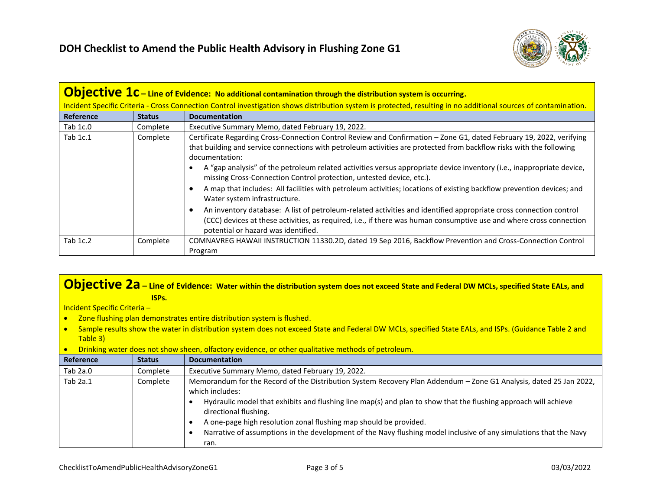

| <b>Objective <math>1c</math></b> – Line of Evidence: No additional contamination through the distribution system is occurring. |                                                                                                                                                                  |                                                                                                                                                                                                                                                                                                                                                                                                                                                                                                                                                                                                       |  |
|--------------------------------------------------------------------------------------------------------------------------------|------------------------------------------------------------------------------------------------------------------------------------------------------------------|-------------------------------------------------------------------------------------------------------------------------------------------------------------------------------------------------------------------------------------------------------------------------------------------------------------------------------------------------------------------------------------------------------------------------------------------------------------------------------------------------------------------------------------------------------------------------------------------------------|--|
|                                                                                                                                | Incident Specific Criteria - Cross Connection Control investigation shows distribution system is protected, resulting in no additional sources of contamination. |                                                                                                                                                                                                                                                                                                                                                                                                                                                                                                                                                                                                       |  |
| <b>Reference</b>                                                                                                               | <b>Status</b>                                                                                                                                                    | <b>Documentation</b>                                                                                                                                                                                                                                                                                                                                                                                                                                                                                                                                                                                  |  |
| Tab $1c.0$                                                                                                                     | Complete                                                                                                                                                         | Executive Summary Memo, dated February 19, 2022.                                                                                                                                                                                                                                                                                                                                                                                                                                                                                                                                                      |  |
| Tab 1c.1                                                                                                                       | Complete                                                                                                                                                         | Certificate Regarding Cross-Connection Control Review and Confirmation - Zone G1, dated February 19, 2022, verifying<br>that building and service connections with petroleum activities are protected from backflow risks with the following<br>documentation:<br>A "gap analysis" of the petroleum related activities versus appropriate device inventory (i.e., inappropriate device,<br>missing Cross-Connection Control protection, untested device, etc.).<br>A map that includes: All facilities with petroleum activities; locations of existing backflow prevention devices; and<br>$\bullet$ |  |
|                                                                                                                                |                                                                                                                                                                  | Water system infrastructure.<br>An inventory database: A list of petroleum-related activities and identified appropriate cross connection control<br>$\bullet$<br>(CCC) devices at these activities, as required, i.e., if there was human consumptive use and where cross connection<br>potential or hazard was identified.                                                                                                                                                                                                                                                                          |  |
| Tab 1c.2                                                                                                                       | Complete                                                                                                                                                         | COMNAVREG HAWAII INSTRUCTION 11330.2D, dated 19 Sep 2016, Backflow Prevention and Cross-Connection Control<br>Program                                                                                                                                                                                                                                                                                                                                                                                                                                                                                 |  |

## **Objective 2a – Line of Evidence: Water within the distribution system does not exceed State and Federal DW MCLs, specified State EALs, and ISPs.**

Incident Specific Criteria –

- Zone flushing plan demonstrates entire distribution system is flushed.
- Sample results show the water in distribution system does not exceed State and Federal DW MCLs, specified State EALs, and ISPs. (Guidance Table 2 and Table 3)
- Drinking water does not show sheen, olfactory evidence, or other qualitative methods of petroleum.

| Reference | <b>Status</b> | <b>Documentation</b>                                                                                                                                                                                                                                                                                                                                                                                                                                                                |
|-----------|---------------|-------------------------------------------------------------------------------------------------------------------------------------------------------------------------------------------------------------------------------------------------------------------------------------------------------------------------------------------------------------------------------------------------------------------------------------------------------------------------------------|
| Tab 2a.0  | Complete      | Executive Summary Memo, dated February 19, 2022.                                                                                                                                                                                                                                                                                                                                                                                                                                    |
| Tab 2a.1  | Complete      | Memorandum for the Record of the Distribution System Recovery Plan Addendum - Zone G1 Analysis, dated 25 Jan 2022,<br>which includes:<br>Hydraulic model that exhibits and flushing line map(s) and plan to show that the flushing approach will achieve<br>directional flushing.<br>A one-page high resolution zonal flushing map should be provided.<br>Narrative of assumptions in the development of the Navy flushing model inclusive of any simulations that the Navy<br>ran. |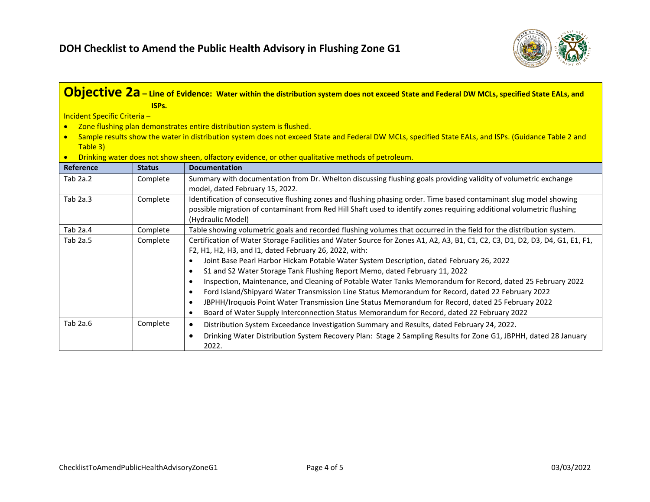

|                              | ISP <sub>s</sub> . | <b>Objective 2a</b> – Line of Evidence: Water within the distribution system does not exceed State and Federal DW MCLs, specified State EALs, and                                      |
|------------------------------|--------------------|----------------------------------------------------------------------------------------------------------------------------------------------------------------------------------------|
| Incident Specific Criteria - |                    |                                                                                                                                                                                        |
| $\bullet$                    |                    | Zone flushing plan demonstrates entire distribution system is flushed.                                                                                                                 |
|                              |                    | Sample results show the water in distribution system does not exceed State and Federal DW MCLs, specified State EALs, and ISPs. (Guidance Table 2 and                                  |
| Table 3)                     |                    |                                                                                                                                                                                        |
|                              |                    | Drinking water does not show sheen, olfactory evidence, or other qualitative methods of petroleum.                                                                                     |
| Reference                    | <b>Status</b>      | <b>Documentation</b>                                                                                                                                                                   |
| Tab $2a.2$                   | Complete           | Summary with documentation from Dr. Whelton discussing flushing goals providing validity of volumetric exchange<br>model, dated February 15, 2022.                                     |
| Tab 2a.3                     | Complete           | Identification of consecutive flushing zones and flushing phasing order. Time based contaminant slug model showing                                                                     |
|                              |                    | possible migration of contaminant from Red Hill Shaft used to identify zones requiring additional volumetric flushing                                                                  |
|                              |                    | (Hydraulic Model)                                                                                                                                                                      |
| Tab 2a.4                     | Complete           | Table showing volumetric goals and recorded flushing volumes that occurred in the field for the distribution system.                                                                   |
| Tab 2a.5                     | Complete           | Certification of Water Storage Facilities and Water Source for Zones A1, A2, A3, B1, C1, C2, C3, D1, D2, D3, D4, G1, E1, F1,<br>F2, H1, H2, H3, and I1, dated February 26, 2022, with: |
|                              |                    | Joint Base Pearl Harbor Hickam Potable Water System Description, dated February 26, 2022<br>$\bullet$                                                                                  |
|                              |                    | S1 and S2 Water Storage Tank Flushing Report Memo, dated February 11, 2022<br>$\bullet$                                                                                                |
|                              |                    | Inspection, Maintenance, and Cleaning of Potable Water Tanks Memorandum for Record, dated 25 February 2022<br>$\bullet$                                                                |
|                              |                    | Ford Island/Shipyard Water Transmission Line Status Memorandum for Record, dated 22 February 2022<br>$\bullet$                                                                         |
|                              |                    | JBPHH/Iroquois Point Water Transmission Line Status Memorandum for Record, dated 25 February 2022<br>$\bullet$                                                                         |
|                              |                    | Board of Water Supply Interconnection Status Memorandum for Record, dated 22 February 2022<br>$\bullet$                                                                                |
| Tab 2a.6                     | Complete           | Distribution System Exceedance Investigation Summary and Results, dated February 24, 2022.<br>$\bullet$                                                                                |
|                              |                    | Drinking Water Distribution System Recovery Plan: Stage 2 Sampling Results for Zone G1, JBPHH, dated 28 January<br>$\bullet$<br>2022.                                                  |